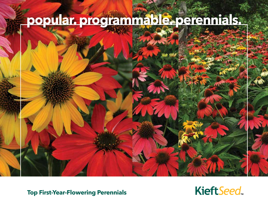# **popular. programmable. perennials.**



**Top First-Year-Flowering Perennials**

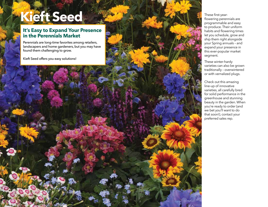## **Kieft Seed**

#### **It's Easy to Expand Your Presence in the Perennials Market**

Perennials are long-time favorites among retailers, landscapers and home gardeners, but you may have found them challenging to grow.

Kieft Seed offers you easy solutions!

These first-yearflowering perennials are programmable and easy to produce. Their uniform habits and flowering times let you schedule, grow and ship them right alongside your Spring annuals – and expand your presence in this ever-popular market segment.

These winter-hardy varieties can also be grown traditionally – overwintered or with vernalized plugs.

Check out this amazing line-up of innovative varieties, all carefully bred for solid performance in the greenhouse and stunning beauty in the garden. When you're ready to order (and we bet you'll want to do that soon!), contact your preferred sales rep.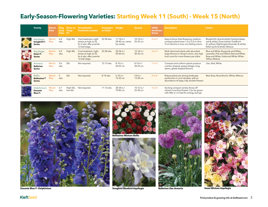### **Early-Season-Flowering Varieties: Starting Week 11 (South) - Week 15 (North)**

| <b>Variety</b>                                    | <b>Bloom</b><br><b>Date</b> | Plug<br><b>Crop</b><br>Time (F) | Grow on<br>Temp.     | Vernalization<br><b>Treatment (weeks)</b>                                                    | <b>Transplant Height</b><br>to Finish |                                              | <b>Spread</b>              | <b>USDA</b><br><b>Hardiness</b><br><b>Zones</b> | <b>Description</b>                                                                                                           | <b>Colors</b>                                                                                                                                                          |
|---------------------------------------------------|-----------------------------|---------------------------------|----------------------|----------------------------------------------------------------------------------------------|---------------------------------------|----------------------------------------------|----------------------------|-------------------------------------------------|------------------------------------------------------------------------------------------------------------------------------|------------------------------------------------------------------------------------------------------------------------------------------------------------------------|
| Aquilegia<br>Songbird F1<br><b>Series</b>         | March-<br>May               | $6 - 8$<br>wks.                 | High 40s             | Cool treatment, night<br>temps as high as 55,<br>for 6 wks. after juvenile<br>12-leaf stage. | 22-28 wks.                            | 11-18 in./<br>28-40 cm, varies<br>by variety | $10-14$ in./<br>25-35 cm   | 3 to 9                                          | Easy-to-force, free-flowering, medium-<br>compact plants have 1.5 to 3.5-in./4 to<br>9-cm blooms in true, non-fading colors. | Bluebird (It. blue & white) Cardinal (deep<br>red & white), Dove (white), Goldfinch<br>(It. yellow), Nightingale (lavender & white),<br>Robin (pink & white), Mixture. |
| Aquilegia<br>Swan F <sub>1</sub><br><b>Series</b> | March-<br>May               | $6 - 9$<br>wks.                 | High 40s             | Cool treatment, night<br>temps as high as 55,<br>for 6 wks. after juvenile<br>12-leaf stage. | 22-28 wks.                            | 20-24 in./<br>$45-60$ cm                     | $12 - 14$ in./<br>30-35 cm | 3 to 9                                          | Multi-stemmed plants with abundant<br>large blooms in vibrant colors; very high<br>bud count for more flowers per plant.     | Blue and White, Burgundy and White,<br>Lavender, Pink and Yellow, Red and White,<br>Rose and White, Violet and White, White,<br>Yellow, Mixture.                       |
| Armeria<br><b>Ballerina</b><br><b>Series</b>      | March-<br>May               | $5-6$<br>wks.                   | 50s                  | Not required.                                                                                | 12-15 wks.                            | 8-10 in./<br>20-25 cm                        | $8-10$ in./<br>20-25 cm    | $7$ to $9$                                      | Compact and uniform plants produce<br>cushion-shaped, grassy foliage; long<br>stems; globe-shaped blooms.                    | Lilac, Red, White.                                                                                                                                                     |
| <b>Bellis</b><br>Bellissima™<br><b>Series</b>     | March-<br>May               | 5<br>wks.                       | 50s                  | Not required.                                                                                | 8-14 wks.                             | $6 - 10$ in./<br>15-25 cm                    | $5-8$ in./<br>13-20 cm     | 4 to 8                                          | Robust plants are strong landscape<br>performers in cool climates, with an<br>abundance of large, fully double flowers.      | Red, Rose, Rose Bicolor, White, Mixture.                                                                                                                               |
| Delphinium<br><b>Dasante</b><br><b>Blue F1</b>    | March-<br>May               | $6 - 7$<br>wks.                 | High 50s,<br>low 60s | Not required.                                                                                | 11-13 wks.                            | 28-34 in./<br>70-85 cm                       | 10-12 in./<br>25-30 cm     | 4 to 8                                          | Exciting compact variety shows off<br>vibrant, true blue flowers. Can be grown<br>with little or no heat for energy savings. |                                                                                                                                                                        |





**Bellissima Mixture Bellis**



**Dasante Blue F1 Delphinium Songbird Bluebird Aquilegia**



**KieftSeed**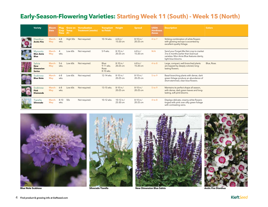### **Early-Season-Flowering Varieties: Starting Week 11 (South) - Week 15 (North)**

| <b>Variety</b>                                            | <b>Bloom</b><br><b>Date</b> | Plug<br><b>Crop</b><br>Time (F) | <b>Grow on</b><br>Temp. | Vernalization<br><b>Treatment (weeks)</b> | <b>Transplant Height</b><br>to Finish    |                          | <b>Spread</b>            | <b>USDA</b><br><b>Hardiness</b><br><b>Zones</b> | <b>Description</b>                                                                                                                               | <b>Colors</b> |
|-----------------------------------------------------------|-----------------------------|---------------------------------|-------------------------|-------------------------------------------|------------------------------------------|--------------------------|--------------------------|-------------------------------------------------|--------------------------------------------------------------------------------------------------------------------------------------------------|---------------|
| <b>Dianthus</b><br><b>Arctic Fire</b>                     | March-<br>May               | $6 - 8$<br>wks.                 | High 50s                | Not required.                             | 10-14 wks.                               | $6 - 8$ in./<br>15-20 cm | $8-10$ in./<br>20-25 cm  | 4 to 7                                          | Striking combination of white flowers<br>with glowing red eye is accented by<br>excellent-quality foliage.                                       |               |
| <b>Myosotis</b><br><b>Mon Amie</b><br>Blue                | March-<br>May               | $\overline{4}$<br>wks.          | Low 60s                 | Not required.                             | 5-9 wks.                                 | 8-10 in./<br>20-25 cm    | $6 - 8$ in./<br>15-20 cm | N/A                                             | Send your Forget-Me-Not crop to market<br>3 to 6 months earlier than biannual<br>varieties. Mon Amie Blue features dainty,<br>light blue blooms. |               |
| Salvia<br><b>New</b><br><b>Dimension</b><br><b>Series</b> | March-<br>May               | $5-6$<br>wks.                   | Low 60s                 | Not required.                             | Blue:<br>9-11 wks.<br>Rose:<br>8-10 wks. | $8-10$ in./<br>20-25 cm  | $6 - 8$ in./<br>15-20 cm | $4$ to $8$                                      | Large, compact, well-branched plants<br>are topped by deeply colored, long-<br>lasting flowers.                                                  | Blue, Rose.   |
| Scabiosa<br><b>Blue Note</b>                              | March-<br>May               | $6 - 8$<br>wks.                 | Low 60s                 | Not required.                             | 12-14 wks.                               | $8-10$ in./<br>20-25 cm  | 8-10 in./<br>20-25 cm    | 5 to 9                                          | Basal-branching plants with dense, dark<br>green foliage produce an abundance of<br>short-stemmed, clear blue flowers.                           |               |
| Scabiosa<br>Pink<br><b>Diamonds</b>                       | March-<br>May               | $6 - 8$<br>wks.                 | Low 60s                 | Not required.                             | 13-15 wks.                               | $8-10$ in./<br>20-25 cm  | $8-10$ in./<br>20-25 cm  | 5 to 9                                          | Maintains its perfect shape all season,<br>with dense, dark green leaves and long-<br>lasting, soft pink blooms.                                 |               |
| Tiarella<br>Silverado                                     | March-<br>May               | $8 - 10$<br>wks.                | 50s                     | Not required.                             | 10-12 wks.                               | 10-12 in./<br>25-30 cm   | $8-10$ in./<br>20-25 cm  | 4 to 8                                          | Displays delicate, creamy white flowers<br>tinged with pink over silky green foliage<br>with contrasting veins.                                  |               |





**Blue Note Scabiosa Arctic Fire Dianthus Silverado Tiarella New Dimension Blue Salvia Arctic Fire Dianthus** 

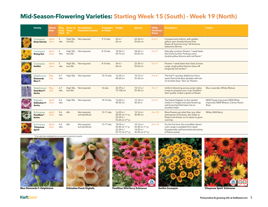### **Mid-Season-Flowering Varieties: Starting Week 15 (South) - Week 19 (North)**

| <b>Variety</b>                                    | <b>Bloom</b><br><b>Date</b> | <b>Plug</b><br>Crop<br><b>Time</b> | Grow on<br>Temp.<br>(F) | Vernalization<br><b>Treatment (weeks)</b> | <b>Transplant Height</b><br>to Finish |                                                                                   | <b>Spread</b>                                                                | <b>USDA</b><br><b>Hardiness</b><br><b>Zones</b> | <b>Description</b>                                                                                                                                | <b>Colors</b>                                                                   |
|---------------------------------------------------|-----------------------------|------------------------------------|-------------------------|-------------------------------------------|---------------------------------------|-----------------------------------------------------------------------------------|------------------------------------------------------------------------------|-------------------------------------------------|---------------------------------------------------------------------------------------------------------------------------------------------------|---------------------------------------------------------------------------------|
| Coreopsis<br><b>Early Sunrise</b>                 | April-<br>June              | 5<br>wks.                          | low 60s                 | High 50s, Not required.                   | 9-12 wks.                             | 24 in./<br>60 cm                                                                  | 22-24 in./<br>55-60 cm                                                       | 4 to 9                                          | Compact and uniform, with golden<br>yellow, semi-double blooms that<br>flower all Summer long.* All-America<br>Selections Winner.                 |                                                                                 |
| Coreopsis<br><b>Rising Sun</b>                    | April-<br>June              | 5<br>wks.                          | High 50s,<br>low 60s    | Not required.                             | 8-10 wks.                             | 18-30 in./<br>45-75 cm                                                            | 24-26 in./<br>60-65 cm                                                       | 4 to 9                                          | Naturally compact, flowers 1 week faster<br>than Early Sunrise. Produces semi-<br>double yellow blooms with red flecks.*                          |                                                                                 |
| Coreopsis<br><b>Sunfire</b>                       | April-<br>June              | 5<br>wks.                          | High 50s,<br>low 60s    | Not required.                             | 8-10 wks.                             | 24 in./<br>60 cm                                                                  | 22-24 in./<br>55-60 cm                                                       | 4 to 9                                          | Flowers 1 week faster than Early Sunrise.<br>Large, single yellow blooms show off<br>burgundy red centers.*                                       |                                                                                 |
| Delphinium<br><b>Diamonds</b><br><b>Blue F1</b>   | May-<br>July                | $6 - 7$<br>wks.                    |                         | High 50s Not required.                    | 10-12 wks.                            | 16-24 in./<br>40-60 cm                                                            | 10-12 in./<br>25-30 cm                                                       | 4 to 8                                          | The first F <sub>1</sub> spurless delphinium from<br>seed, Diamonds Blue sparkles with lots<br>of cerulean blue, "face up" flowers.               |                                                                                 |
| Delphinium<br><b>Guardian F1</b><br>Series        | May-<br>July                | $6 - 7$<br>wks.                    | low 60s                 | High 50s, Not required.                   | 16 wks.                               | 30-39 in./<br>75-100 cm                                                           | 10-12 in./<br>25-30 cm                                                       | 4 to 7                                          | Uniform blooming across series makes<br>it easy to program your crop. Excellent<br>stem quality, makes a great cut flower.                        | Blue, Lavender, White, Mixture.                                                 |
| <b>Digitalis</b><br>Dalmatian F1<br>Series        | April-<br>June              | $5-6$<br>wks.                      | High 50s                | Not required.                             | 10-14 wks.                            | $16-20$ in./<br>40-50 cm                                                          | $12-14$ in./<br>30-35 in.                                                    | 5 to 9                                          | The fastest Digitalis on the market!<br>Uniform in height and early flowering,<br>well-branched Dalmatian has an<br>excellent habit.              | NEW Purple Improved, NEW White<br>Improved, NEW Mixture, Crème, Peach,<br>Rose. |
| Echinacea<br>PowWow <sup>®</sup><br><b>Series</b> | April-<br>June              | $5-6$<br>wks.                      | 60s                     | Not required,<br>but beneficial.          | 13-17 wks.                            | 16-20 in./<br>40-50 cm 1st yr.,<br>$22 - 24$ in./<br>55-60 cm 2 <sup>nd</sup> yr. | $12 - 16$ in./<br>30-40 cm                                                   | 4 to 10                                         | More flowers per plant than any other<br>seed-grown Echinacea; also faster to<br>flower and shorter, so it's easier to grow<br>and ship.          | White, Wild Berry.                                                              |
| Echinacea<br>'Cheyenne<br>Spirit'                 | April-<br>June              | $5-6$<br>wks.                      | 60s                     | Not required<br>but beneficial.           | 13-17 wks.                            | 18-24 in./<br>45-60 cm 1st yr.<br>22-30 in./<br>55-75 cm 2 <sup>nd</sup> yr.      | 10-16 in./<br>25-40 cm 1st yr.<br>14-20 in./<br>35-50 cm 2 <sup>nd</sup> yr. | 4 to 10                                         | For the first time, this incredibly vibrant<br>color range is available from seed!<br>Exceptionally well-branched with plenty<br>of flower power. |                                                                                 |

\* *Can also be marketed as an annual in premium packs.*







**Blue Diamonds F1 Delphinium Dalmatian Peach Digitalis PowWow Wild Berry Echinacea Sunfire Coreopsis 'Cheyenne Spirit' Echinacea**

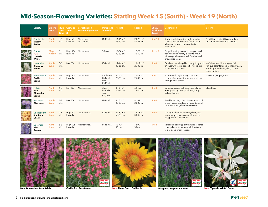### **Mid-Season-Flowering Varieties: Starting Week 15 (South) - Week 19 (North)**

| <b>Variety</b>                                            | <b>Bloom</b><br><b>Date</b> | Plug<br>Crop<br><b>Time</b> | <b>Grow on</b><br>Temp.<br>(F) | Vernalization<br><b>Treatment (weeks)</b> | <b>Transplant Height</b><br>to Finish            |                        | <b>Spread</b>            | <b>USDA</b><br><b>Hardiness</b><br><b>Zones</b> | <b>Description</b>                                                                                                                            | <b>Colors</b>                                                                                                                            |
|-----------------------------------------------------------|-----------------------------|-----------------------------|--------------------------------|-------------------------------------------|--------------------------------------------------|------------------------|--------------------------|-------------------------------------------------|-----------------------------------------------------------------------------------------------------------------------------------------------|------------------------------------------------------------------------------------------------------------------------------------------|
| Gaillardia<br>Mesa™ F1<br><b>Series</b>                   | April-<br>June              | $5-6$<br>wks.               | High 50s,<br>low 60s           | Not required,<br>but beneficial.          | 11-13 wks.                                       | 14-16 in./<br>35-40 cm | 20-22 in./<br>50-55 cm   | 5 to 10                                         | Strong, early-flowering, well-branched<br>plants show intense, non-fading color<br>all season in landscapes and mixed<br>containers.          | NEW Peach, Bright Bicolor, Yellow<br>(All-America Selections Winner).                                                                    |
| Gaura<br><b>New</b><br>'Sparkle<br>White'                 | $May-$<br>August            | 5<br>wks.                   | High 50s,<br>low 60s           | Not required.                             | 7-8 wks.                                         | 12-24 in./<br>30-60 cm | 12-20 in./<br>30-50 cm   | 5b to 9                                         | Early-blooming, naturally compact and<br>free-flowering variety is easy to grow,<br>with no pinching needed. Durable and<br>drought tolerant. |                                                                                                                                          |
| Lavender<br><b>Ellagance</b><br><b>Series</b>             | April-<br>June              | $5-6$<br>wks.               | Low 60s                        | Not required.                             | 10-14 wks.                                       | 12-14 in./<br>30-35 cm | 10-12 in./<br>25-30 cm   | 5 to 8                                          | Excellent branching fills pots quickly and<br>finishes with large, dense flower spikes<br>on very strong stems.                               | Ice (white w/lt. blue edges), Pink<br>(unique color for seed L. angustifolia),<br>Purple (purple-blue), Sky (lt. blue),<br>Snow (white). |
| Penstemon<br>Carillo<br><b>Series</b>                     | April-<br>June              | $6 - 8$<br>wks.             | low 60s                        | High 50s, Not required.                   | Purple/Red:<br>12-14 wks.<br>Rose:<br>13-15 wks. | 8-10 in./<br>20-25 cm  | 10-12 in./<br>25-30 cm   | 5 to 7                                          | Economical, high-quality choice for<br>growers features shiny foliage and clear,<br>strong flower colors.                                     | NEW Red, Purple, Rose.                                                                                                                   |
| Salvia<br><b>New</b><br><b>Dimension</b><br><b>Series</b> | April-<br>June              | $6 - 8$<br>wks.             | Low 60s                        | Not required.                             | Blue:<br>9-11 wks<br>Rose:<br>8-10 wks.          | 8-10 in./<br>20-25 cm  | $6 - 8$ in./<br>15-20 cm | 4 to 8                                          | Large, compact, well-branched plants<br>are topped by deeply colored, long-<br>lasting flowers.                                               | Blue, Rose.                                                                                                                              |
| Scabiosa<br><b>Blue Note</b>                              | April-<br>June              | $6 - 8$<br>wks.             | Low 60s                        | Not required.                             | 12-14 wks.                                       | 8-10 in./<br>20-25 cm  | 8-10 in./<br>20-25 cm    | 5 to 9                                          | Basal-branching plants have dense, dark<br>green foliage produce an abundance of<br>short-stemmed, clear blue flowers.                        |                                                                                                                                          |
| Verbascum<br><b>Southern</b><br>Charm                     | April-<br>June              | $4 - 5$<br>wks.             | High 50s,<br>low 60s           | Not required.                             | 12-13 wks.                                       | 24-30 in./<br>60-75 cm | 12-18 in./<br>30-45 cm   | 5 to 8                                          | A unique blend of creamy yellow, soft<br>lavender and peachy rose blooms on<br>tall, graceful flower stems.                                   |                                                                                                                                          |
| Veronica<br><b>Blue</b><br><b>Bouquet</b>                 | April-<br>June              | $5-6$<br>wks.               | High 50s,<br>low 60s           | Not required.                             | 14-16 wks.                                       | $12$ in./<br>30 cm     | 12 in./<br>30 cm         | $5$ to $8$                                      | Versatile bedding plant features tapered<br>blue spikes with many small florets on<br>top of deep green foliage.                              |                                                                                                                                          |





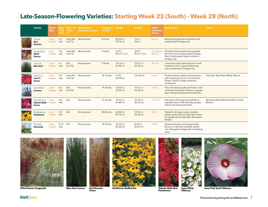### **Late-Season-Flowering Varieties: Starting Week 23 (South) - Week 28 (North)**

| <b>Variety</b>                                          | <b>Bloom</b><br><b>Date</b> | Plug,<br>Crop<br><b>Time</b> | Grow on<br>Temp.<br>(F) | Vernalization<br><b>Treatment (weeks)</b> | <b>Transplant Height</b><br>to Finish |                           | <b>Spread</b>             | <b>USDA</b><br><b>Hardiness</b><br><b>Zones</b> | <b>Description</b>                                                                                                                        | <b>Colors</b>                                      |
|---------------------------------------------------------|-----------------------------|------------------------------|-------------------------|-------------------------------------------|---------------------------------------|---------------------------|---------------------------|-------------------------------------------------|-------------------------------------------------------------------------------------------------------------------------------------------|----------------------------------------------------|
| Carex<br>Red<br><b>Rooster</b>                          | June-<br>August             | $6 - 7$<br>wks.              | low 70s                 | High 60s, Not required.                   | 8-9 wks.                              | 20-30 in./<br>50-75 cm    | 12 in./<br>30 cm          | $6$ to $9$                                      | Red bronze grass has curled tips and<br>upright habit. Foliage only.                                                                      |                                                    |
| Eragrostis<br>Wind<br><b>Dancer</b>                     | June-<br><b>August</b>      | $3 - 4$<br>wks.              | High 60s,<br>low 70s    | Not required.                             | 5-6 wks.                              | $3-4$ ft./<br>90 cm-1.2 m | $3-4$ ft./<br>90 cm-1.2 m | To at least<br>Zone 6                           | Drought-tolerant grass has a graceful<br>form and narrow, bluish green foliage.<br>Best in landscapes /large containers.<br>Foliage only. |                                                    |
| Juncus<br><b>Blue Dart</b>                              | June-<br><b>August</b>      | $6 - 7$<br>wks.              | 60s,<br>low 70s         | Not required.                             | 7-8 wks.                              | 14-16 in./<br>35-40 cm    | 10-12 in./<br>25-30 cm    | 4 to 10                                         | Linear blue plant adds texture to small<br>containers and in-ground plantings.<br>Low-maintenance. Foliage only.                          |                                                    |
| <b>Hibiscus</b><br>Luna F <sub>1</sub><br><b>Series</b> | June-<br>August             | $3 - 4$<br>wks.              | low 70s                 | High 60s, Not required.                   | 10-13 wks.                            | $2 - 3$ ft./<br>60-90 cm  | 2 ft./60 cm               | 5 to 9                                          | Produces bushy, well-branched plants<br>with numerous 6 to 8-in./15 to 20-cm<br>flowers. Ideal for large containers,<br>landscapes.       | Pink Swirl, Red, Rose, White, Mixture.             |
| Lavender<br>Lavance                                     | June-<br>August             | $5 - 6$<br>wks.              | 60s<br>low 70s          | Not required.                             | 14-16 wks.                            | 10-20 in./<br>25-50 cm    | 10-12 in./<br>25-30 cm    | 5 to 8                                          | The most intense spike and flower color<br>of all seed lavenders! Uniform, compact<br>plant with good base-branching habit.               |                                                    |
| Penstemon<br><b>Tubular Bells</b><br><b>Series</b>      | June-<br><b>August</b>      | $6 - 8$<br>wks.              | 60s                     | Not required.                             | 13-16 wks.                            | 14-16 in./<br>35-40 cm    | 10-14 in./<br>25-35 cm    | 7 to 10                                         | First series of this type of available in<br>separate colors. Self-cleaning, upright,<br>robust and strong-stemmed.                       | Red, Rose, Wine Red with White Throat,<br>Mixture. |
| Rudbeckia<br>Goldsturm                                  | June-<br>August             | $6 - 8$<br>wks.              | 60s                     | Not required.                             | 20-24 wks.                            | 24-28 in./<br>60-70 cm    | 14-18 in./<br>35-45 cm    | 3 to 9                                          | Noted for its large, single, scentless<br>golden yellow blooms with dark center,<br>on upright plants with tight, dark green<br>foliage.  |                                                    |
| Tiarella<br>Silverado                                   | June-<br>August             | $8 - 10$<br>wks.             | 50s                     | Not required.                             | 10-12 wks.                            | 10-12 in./<br>25-30 cm    | 8-10 in./<br>20-25 cm     | 4 to 8                                          | Features delicate, pink-tinged white<br>blooms on densely set flower spikes<br>over silky green foliage with contrasting<br>veins.        |                                                    |





**Wind Dancer Eragrostis Tubular Blue Dart Juncus Red Rooster Goldsturm Rudbeckia** 

**Red Rooster Carex**



**Penstemon Luna White Hibiscus**



**Luna Pink Swirl Hibiscus**